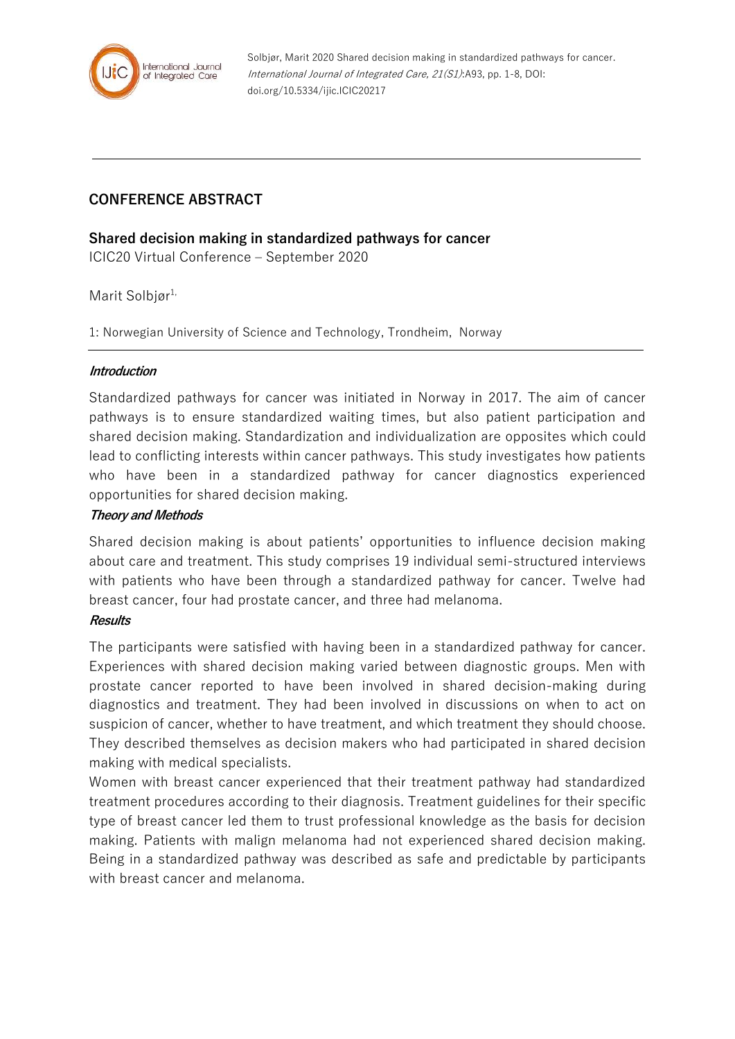

# **CONFERENCE ABSTRACT**

## **Shared decision making in standardized pathways for cancer**

ICIC20 Virtual Conference – September 2020

## Marit Solbiør<sup>1,</sup>

1: Norwegian University of Science and Technology, Trondheim, Norway

#### **Introduction**

Standardized pathways for cancer was initiated in Norway in 2017. The aim of cancer pathways is to ensure standardized waiting times, but also patient participation and shared decision making. Standardization and individualization are opposites which could lead to conflicting interests within cancer pathways. This study investigates how patients who have been in a standardized pathway for cancer diagnostics experienced opportunities for shared decision making.

## **Theory and Methods**

Shared decision making is about patients' opportunities to influence decision making about care and treatment. This study comprises 19 individual semi-structured interviews with patients who have been through a standardized pathway for cancer. Twelve had breast cancer, four had prostate cancer, and three had melanoma.

#### **Results**

The participants were satisfied with having been in a standardized pathway for cancer. Experiences with shared decision making varied between diagnostic groups. Men with prostate cancer reported to have been involved in shared decision-making during diagnostics and treatment. They had been involved in discussions on when to act on suspicion of cancer, whether to have treatment, and which treatment they should choose. They described themselves as decision makers who had participated in shared decision making with medical specialists.

Women with breast cancer experienced that their treatment pathway had standardized treatment procedures according to their diagnosis. Treatment guidelines for their specific type of breast cancer led them to trust professional knowledge as the basis for decision making. Patients with malign melanoma had not experienced shared decision making. Being in a standardized pathway was described as safe and predictable by participants with breast cancer and melanoma.